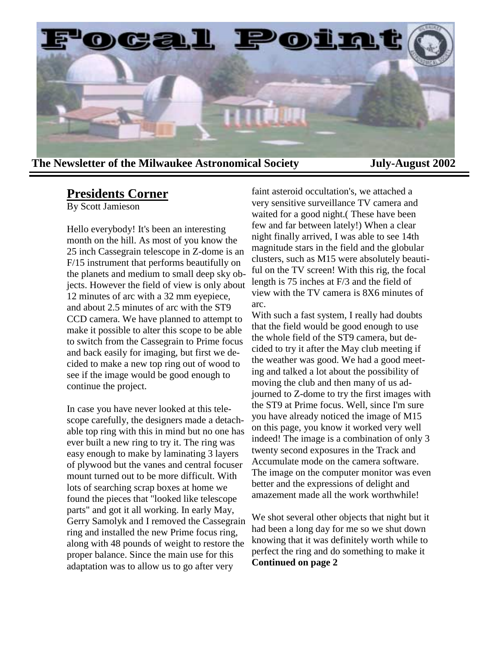

**The Newsletter of the Milwaukee Astronomical Society July-August 2002** 

# **Presidents Corner**

By Scott Jamieson

Hello everybody! It's been an interesting month on the hill. As most of you know the 25 inch Cassegrain telescope in Z-dome is an F/15 instrument that performs beautifully on the planets and medium to small deep sky objects. However the field of view is only about 12 minutes of arc with a 32 mm eyepiece, and about 2.5 minutes of arc with the ST9 CCD camera. We have planned to attempt to make it possible to alter this scope to be able to switch from the Cassegrain to Prime focus and back easily for imaging, but first we decided to make a new top ring out of wood to see if the image would be good enough to continue the project.

In case you have never looked at this telescope carefully, the designers made a detachable top ring with this in mind but no one has ever built a new ring to try it. The ring was easy enough to make by laminating 3 layers of plywood but the vanes and central focuser mount turned out to be more difficult. With lots of searching scrap boxes at home we found the pieces that "looked like telescope parts" and got it all working. In early May, Gerry Samolyk and I removed the Cassegrain ring and installed the new Prime focus ring, along with 48 pounds of weight to restore the proper balance. Since the main use for this adaptation was to allow us to go after very

faint asteroid occultation's, we attached a very sensitive surveillance TV camera and waited for a good night.( These have been few and far between lately!) When a clear night finally arrived, I was able to see 14th magnitude stars in the field and the globular clusters, such as M15 were absolutely beautiful on the TV screen! With this rig, the focal length is 75 inches at F/3 and the field of view with the TV camera is 8X6 minutes of arc.

With such a fast system, I really had doubts that the field would be good enough to use the whole field of the ST9 camera, but decided to try it after the May club meeting if the weather was good. We had a good meeting and talked a lot about the possibility of moving the club and then many of us adjourned to Z-dome to try the first images with the ST9 at Prime focus. Well, since I'm sure you have already noticed the image of M15 on this page, you know it worked very well indeed! The image is a combination of only 3 twenty second exposures in the Track and Accumulate mode on the camera software. The image on the computer monitor was even better and the expressions of delight and amazement made all the work worthwhile!

We shot several other objects that night but it had been a long day for me so we shut down knowing that it was definitely worth while to perfect the ring and do something to make it **Continued on page 2**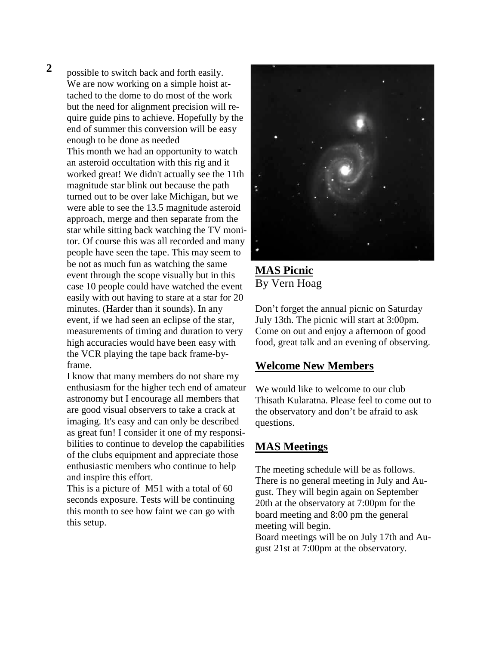**2** possible to switch back and forth easily. We are now working on a simple hoist attached to the dome to do most of the work but the need for alignment precision will require guide pins to achieve. Hopefully by the end of summer this conversion will be easy enough to be done as needed This month we had an opportunity to watch an asteroid occultation with this rig and it worked great! We didn't actually see the 11th magnitude star blink out because the path turned out to be over lake Michigan, but we were able to see the 13.5 magnitude asteroid approach, merge and then separate from the star while sitting back watching the TV monitor. Of course this was all recorded and many people have seen the tape. This may seem to be not as much fun as watching the same event through the scope visually but in this case 10 people could have watched the event easily with out having to stare at a star for 20 minutes. (Harder than it sounds). In any event, if we had seen an eclipse of the star, measurements of timing and duration to very high accuracies would have been easy with the VCR playing the tape back frame-byframe.

> I know that many members do not share my enthusiasm for the higher tech end of amateur astronomy but I encourage all members that are good visual observers to take a crack at imaging. It's easy and can only be described as great fun! I consider it one of my responsibilities to continue to develop the capabilities of the clubs equipment and appreciate those enthusiastic members who continue to help and inspire this effort.

This is a picture of M51 with a total of 60 seconds exposure. Tests will be continuing this month to see how faint we can go with this setup.



**MAS Picnic** By Vern Hoag

Don't forget the annual picnic on Saturday July 13th. The picnic will start at 3:00pm. Come on out and enjoy a afternoon of good food, great talk and an evening of observing.

# **Welcome New Members**

We would like to welcome to our club Thisath Kularatna. Please feel to come out to the observatory and don't be afraid to ask questions.

# **MAS Meetings**

The meeting schedule will be as follows. There is no general meeting in July and August. They will begin again on September 20th at the observatory at 7:00pm for the board meeting and 8:00 pm the general meeting will begin. Board meetings will be on July 17th and August 21st at 7:00pm at the observatory.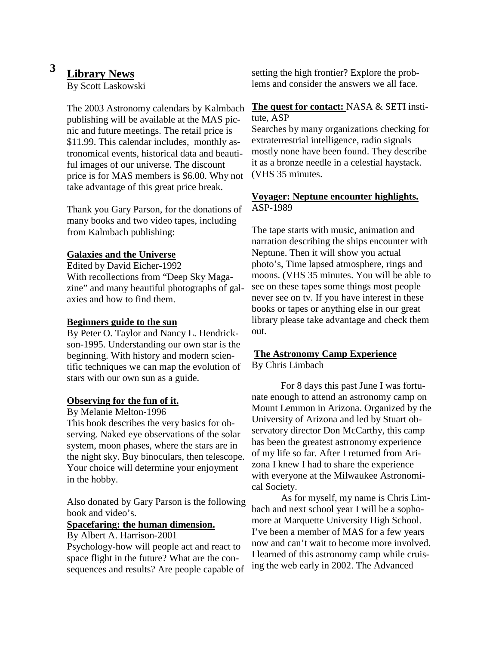# **3 Library News**

By Scott Laskowski

The 2003 Astronomy calendars by Kalmbach publishing will be available at the MAS picnic and future meetings. The retail price is \$11.99. This calendar includes, monthly astronomical events, historical data and beautiful images of our universe. The discount price is for MAS members is \$6.00. Why not take advantage of this great price break.

Thank you Gary Parson, for the donations of many books and two video tapes, including from Kalmbach publishing:

### **Galaxies and the Universe**

Edited by David Eicher-1992 With recollections from "Deep Sky Magazine" and many beautiful photographs of galaxies and how to find them.

#### **Beginners guide to the sun**

By Peter O. Taylor and Nancy L. Hendrickson-1995. Understanding our own star is the beginning. With history and modern scientific techniques we can map the evolution of stars with our own sun as a guide.

#### **Observing for the fun of it.**

By Melanie Melton-1996

This book describes the very basics for observing. Naked eye observations of the solar system, moon phases, where the stars are in the night sky. Buy binoculars, then telescope. Your choice will determine your enjoyment in the hobby.

Also donated by Gary Parson is the following book and video's.

#### **Spacefaring: the human dimension.**

By Albert A. Harrison-2001

Psychology-how will people act and react to space flight in the future? What are the consequences and results? Are people capable of setting the high frontier? Explore the problems and consider the answers we all face.

#### **The quest for contact:** NASA & SETI institute, ASP

Searches by many organizations checking for extraterrestrial intelligence, radio signals mostly none have been found. They describe it as a bronze needle in a celestial haystack. (VHS 35 minutes.

### **Voyager: Neptune encounter highlights.**  ASP-1989

The tape starts with music, animation and narration describing the ships encounter with Neptune. Then it will show you actual photo's, Time lapsed atmosphere, rings and moons. (VHS 35 minutes. You will be able to see on these tapes some things most people never see on tv. If you have interest in these books or tapes or anything else in our great library please take advantage and check them out.

#### **The Astronomy Camp Experience** By Chris Limbach

 For 8 days this past June I was fortunate enough to attend an astronomy camp on Mount Lemmon in Arizona. Organized by the University of Arizona and led by Stuart observatory director Don McCarthy, this camp has been the greatest astronomy experience of my life so far. After I returned from Arizona I knew I had to share the experience with everyone at the Milwaukee Astronomical Society.

 As for myself, my name is Chris Limbach and next school year I will be a sophomore at Marquette University High School. I've been a member of MAS for a few years now and can't wait to become more involved. I learned of this astronomy camp while cruising the web early in 2002. The Advanced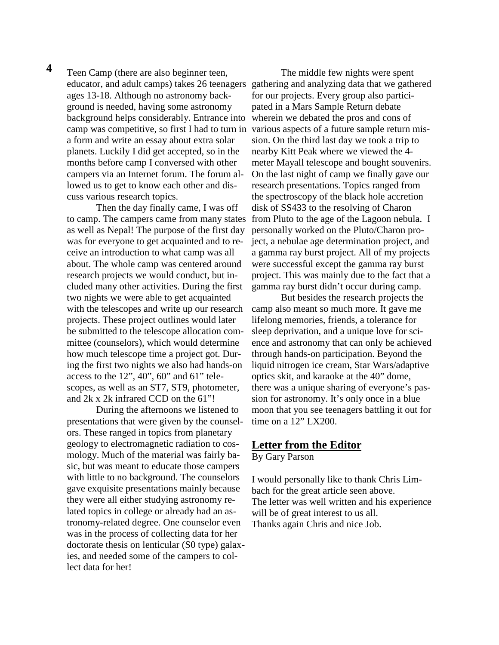Teen Camp (there are also beginner teen, ages 13-18. Although no astronomy background is needed, having some astronomy background helps considerably. Entrance into camp was competitive, so first I had to turn in a form and write an essay about extra solar planets. Luckily I did get accepted, so in the months before camp I conversed with other campers via an Internet forum. The forum allowed us to get to know each other and discuss various research topics.  **4** 

> Then the day finally came, I was off to camp. The campers came from many states as well as Nepal! The purpose of the first day was for everyone to get acquainted and to receive an introduction to what camp was all about. The whole camp was centered around research projects we would conduct, but included many other activities. During the first two nights we were able to get acquainted with the telescopes and write up our research projects. These project outlines would later be submitted to the telescope allocation committee (counselors), which would determine how much telescope time a project got. During the first two nights we also had hands-on access to the  $12$ ",  $40$ ",  $60$ " and  $61$ " telescopes, as well as an ST7, ST9, photometer, and 2k x 2k infrared CCD on the 61"!

 During the afternoons we listened to presentations that were given by the counselors. These ranged in topics from planetary geology to electromagnetic radiation to cosmology. Much of the material was fairly basic, but was meant to educate those campers with little to no background. The counselors gave exquisite presentations mainly because they were all either studying astronomy related topics in college or already had an astronomy-related degree. One counselor even was in the process of collecting data for her doctorate thesis on lenticular (S0 type) galaxies, and needed some of the campers to collect data for her!

educator, and adult camps) takes 26 teenagers gathering and analyzing data that we gathered The middle few nights were spent for our projects. Every group also participated in a Mars Sample Return debate wherein we debated the pros and cons of various aspects of a future sample return mission. On the third last day we took a trip to nearby Kitt Peak where we viewed the 4 meter Mayall telescope and bought souvenirs. On the last night of camp we finally gave our research presentations. Topics ranged from the spectroscopy of the black hole accretion disk of SS433 to the resolving of Charon from Pluto to the age of the Lagoon nebula. I personally worked on the Pluto/Charon project, a nebulae age determination project, and a gamma ray burst project. All of my projects were successful except the gamma ray burst project. This was mainly due to the fact that a gamma ray burst didn't occur during camp.

> But besides the research projects the camp also meant so much more. It gave me lifelong memories, friends, a tolerance for sleep deprivation, and a unique love for science and astronomy that can only be achieved through hands-on participation. Beyond the liquid nitrogen ice cream, Star Wars/adaptive optics skit, and karaoke at the 40" dome, there was a unique sharing of everyone's passion for astronomy. It's only once in a blue moon that you see teenagers battling it out for time on a 12" LX200.

#### **Letter from the Editor**

By Gary Parson

I would personally like to thank Chris Limbach for the great article seen above. The letter was well written and his experience will be of great interest to us all. Thanks again Chris and nice Job.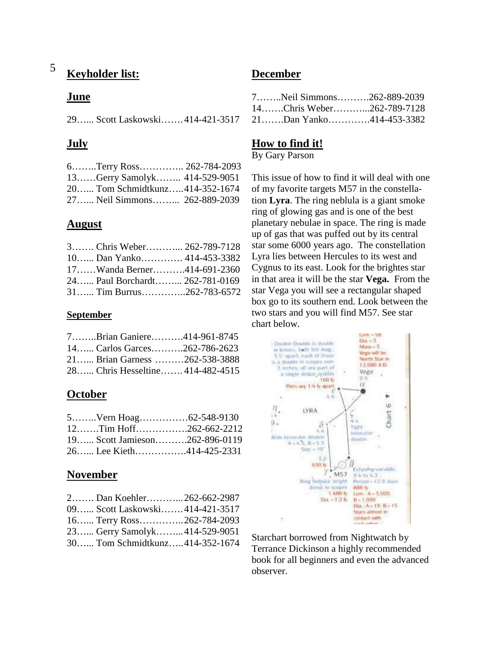#### **Keyholder list:** 5

### **June**

29…... Scott Laskowski……. 414-421-3517

# **July**

| 6Terry Ross 262-784-2093       |  |
|--------------------------------|--|
| 13Gerry Samolyk 414-529-9051   |  |
| 20 Tom Schmidtkunz414-352-1674 |  |
| 27 Neil Simmons 262-889-2039   |  |

# **August**

| 3 Chris Weber 262-789-7128     |  |
|--------------------------------|--|
| 10 Dan Yanko 414-453-3382      |  |
| 17Wanda Berner414-691-2360     |  |
| 24 Paul Borchardt 262-781-0169 |  |
| $31$ Tim Burrus262-783-6572    |  |

### **September**

| 7Brian Ganiere414-961-8745       |  |
|----------------------------------|--|
| 14 Carlos Garces262-786-2623     |  |
| 21 Brian Garness 262-538-3888    |  |
| 28 Chris Hesseltine 414-482-4515 |  |

# **October**

| $12$ Tim Hoff262-662-2212     |  |
|-------------------------------|--|
| 19 Scott Jamieson262-896-0119 |  |
| 26 Lee Kieth414-425-2331      |  |

# **November**

| 2 Dan Koehler 262-662-2987     |  |
|--------------------------------|--|
| 09 Scott Laskowski414-421-3517 |  |
| 16 Terry Ross262-784-2093      |  |
| 23 Gerry Samolyk414-529-9051   |  |
| 30 Tom Schmidtkunz414-352-1674 |  |

# **December**

|  | 7Neil Simmons262-889-2039 |
|--|---------------------------|
|  | 14Chris Weber262-789-7128 |
|  | 21Dan Yanko414-453-3382   |

# **How to find it!**

By Gary Parson

This issue of how to find it will deal with one of my favorite targets M57 in the constellation **Lyra**. The ring neblula is a giant smoke ring of glowing gas and is one of the best planetary nebulae in space. The ring is made up of gas that was puffed out by its central star some 6000 years ago. The constellation Lyra lies between Hercules to its west and Cygnus to its east. Look for the brightes star in that area it will be the star **Vega.** From the star Vega you will see a rectangular shaped box go to its southern end. Look between the two stars and you will find M57. See star chart below.



Starchart borrowed from Nightwatch by Terrance Dickinson a highly recommended book for all beginners and even the advanced observer.